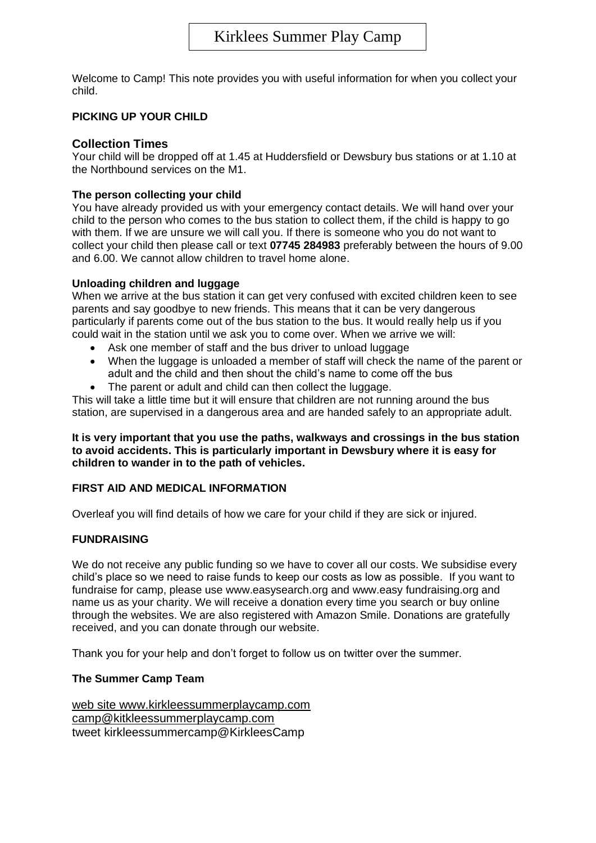Welcome to Camp! This note provides you with useful information for when you collect your child.

## **PICKING UP YOUR CHILD**

## **Collection Times**

Your child will be dropped off at 1.45 at Huddersfield or Dewsbury bus stations or at 1.10 at the Northbound services on the M1.

## **The person collecting your child**

You have already provided us with your emergency contact details. We will hand over your child to the person who comes to the bus station to collect them, if the child is happy to go with them. If we are unsure we will call you. If there is someone who you do not want to collect your child then please call or text **07745 284983** preferably between the hours of 9.00 and 6.00. We cannot allow children to travel home alone.

## **Unloading children and luggage**

When we arrive at the bus station it can get very confused with excited children keen to see parents and say goodbye to new friends. This means that it can be very dangerous particularly if parents come out of the bus station to the bus. It would really help us if you could wait in the station until we ask you to come over. When we arrive we will:

- Ask one member of staff and the bus driver to unload luggage
- When the luggage is unloaded a member of staff will check the name of the parent or adult and the child and then shout the child's name to come off the bus
- The parent or adult and child can then collect the luggage.

This will take a little time but it will ensure that children are not running around the bus station, are supervised in a dangerous area and are handed safely to an appropriate adult.

**It is very important that you use the paths, walkways and crossings in the bus station to avoid accidents. This is particularly important in Dewsbury where it is easy for children to wander in to the path of vehicles.**

## **FIRST AID AND MEDICAL INFORMATION**

Overleaf you will find details of how we care for your child if they are sick or injured.

## **FUNDRAISING**

We do not receive any public funding so we have to cover all our costs. We subsidise every child's place so we need to raise funds to keep our costs as low as possible. If you want to fundraise for camp, please use www.easysearch.org and www.easy fundraising.org and name us as your charity. We will receive a donation every time you search or buy online through the websites. We are also registered with Amazon Smile. Donations are gratefully received, and you can donate through our website.

Thank you for your help and don't forget to follow us on twitter over the summer.

## **The Summer Camp Team**

web site www.kirkleessummerplaycamp.com camp@kitkleessummerplaycamp.com tweet kirkleessummercamp@KirkleesCamp